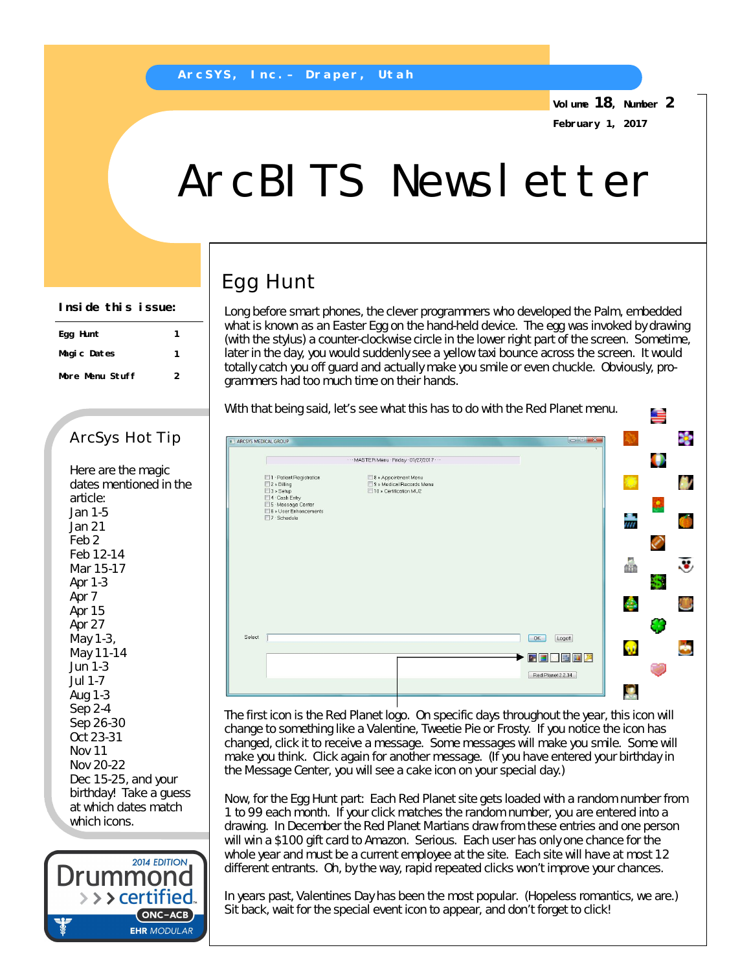**Volume 18, Number 2 February 1, 2017**

# ArcBITS Newsletter

## Egg Hunt

Long before smart phones, the clever programmers who developed the Palm, embedded what is known as an Easter Egg on the hand-held device. The egg was invoked by drawing (with the stylus) a counter-clockwise circle in the lower right part of the screen. Sometime, later in the day, you would suddenly see a yellow taxi bounce across the screen. It would totally catch you off guard and actually make you smile or even chuckle. Obviously, programmers had too much time on their hands.

With that being said, let's see what this has to do with the Red Planet menu.

#### X. ARCSYS MEDICAL GROUP MASTER Menu · Friday · 01/27/2017 ۰ □ 1 · Patient Registration<br>□ 2 » Billing<br>□ 3 » Setup<br>□ 4 · Cesh Esta . □ 8 » Appointment Menu<br>□ 9 » Medical Records Menu<br>□ 10 » Certification MU2 鄉 4 Cash Entry .<br>□ 5 · Message Center<br>□ 6 » User Enhancements 7 Schedule 壽 ۲ 钄 ÷ O Select | OK Logoff  $\bullet$ **GR** 2 3 5 8 7  $\left[\right]$  Red Planet 2.2.34 **SOF**

The first icon is the Red Planet logo. On specific days throughout the year, this icon will change to something like a Valentine, Tweetie Pie or Frosty. If you notice the icon has changed, click it to receive a message. Some messages will make you smile. Some will make you think. Click again for another message. (If you have entered your birthday in the Message Center, you will see a cake icon on your special day.)

Now, for the Egg Hunt part: Each Red Planet site gets loaded with a random number from 1 to 99 each month. If your click matches the random number, you are entered into a drawing. In December the Red Planet Martians draw from these entries and one person will win a \$100 gift card to Amazon. Serious. Each user has only one chance for the whole year and must be a current employee at the site. Each site will have at most 12 different entrants. Oh, by the way, rapid repeated clicks won't improve your chances.

In years past, Valentines Day has been the most popular. (Hopeless romantics, we are.) Sit back, wait for the special event icon to appear, and don't forget to click!

| Inside this issue: |   |
|--------------------|---|
| Egg Hunt           |   |
| Magic Dates        | 1 |
| More Menu Stuff    | 2 |

### ArcSys Hot Tip

Here are the magic dates mentioned in the article: Jan 1-5 Jan 21 Feb 2 Feb 12-14 Mar 15-17 Apr 1-3 Apr 7 Apr 15 Apr 27 May 1-3, May 11-14 Jun 1-3 Jul 1-7 Aug 1-3 Sep 2-4 Sep 26-30 Oct 23-31 Nov 11 Nov 20-22 Dec 15-25, and your birthday! Take a guess at which dates match which icons.